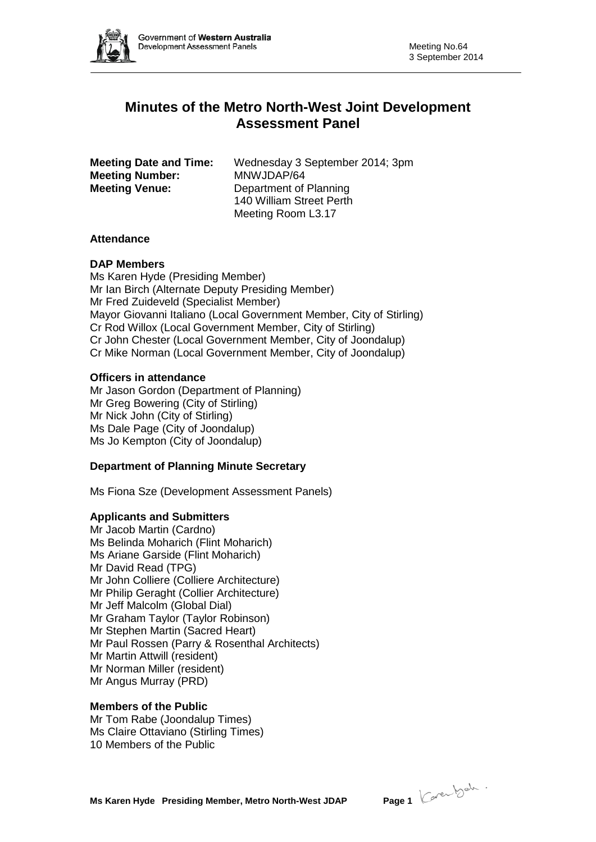

# **Minutes of the Metro North-West Joint Development Assessment Panel**

| <b>Meeting Date and Time:</b> | Wednesday 3 September 2014; 3pm |
|-------------------------------|---------------------------------|
| <b>Meeting Number:</b>        | MNWJDAP/64                      |
| <b>Meeting Venue:</b>         | Department of Planning          |
|                               | 140 William Street Perth        |
|                               | Meeting Room L3.17              |

# **Attendance**

# **DAP Members**

Ms Karen Hyde (Presiding Member) Mr Ian Birch (Alternate Deputy Presiding Member) Mr Fred Zuideveld (Specialist Member) Mayor Giovanni Italiano (Local Government Member, City of Stirling) Cr Rod Willox (Local Government Member, City of Stirling) Cr John Chester (Local Government Member, City of Joondalup) Cr Mike Norman (Local Government Member, City of Joondalup)

# **Officers in attendance**

Mr Jason Gordon (Department of Planning) Mr Greg Bowering (City of Stirling) Mr Nick John (City of Stirling) Ms Dale Page (City of Joondalup) Ms Jo Kempton (City of Joondalup)

#### **Department of Planning Minute Secretary**

Ms Fiona Sze (Development Assessment Panels)

# **Applicants and Submitters**

Mr Jacob Martin (Cardno) Ms Belinda Moharich (Flint Moharich) Ms Ariane Garside (Flint Moharich) Mr David Read (TPG) Mr John Colliere (Colliere Architecture) Mr Philip Geraght (Collier Architecture) Mr Jeff Malcolm (Global Dial) Mr Graham Taylor (Taylor Robinson) Mr Stephen Martin (Sacred Heart) Mr Paul Rossen (Parry & Rosenthal Architects) Mr Martin Attwill (resident) Mr Norman Miller (resident) Mr Angus Murray (PRD)

#### **Members of the Public**

Mr Tom Rabe (Joondalup Times) Ms Claire Ottaviano (Stirling Times) 10 Members of the Public

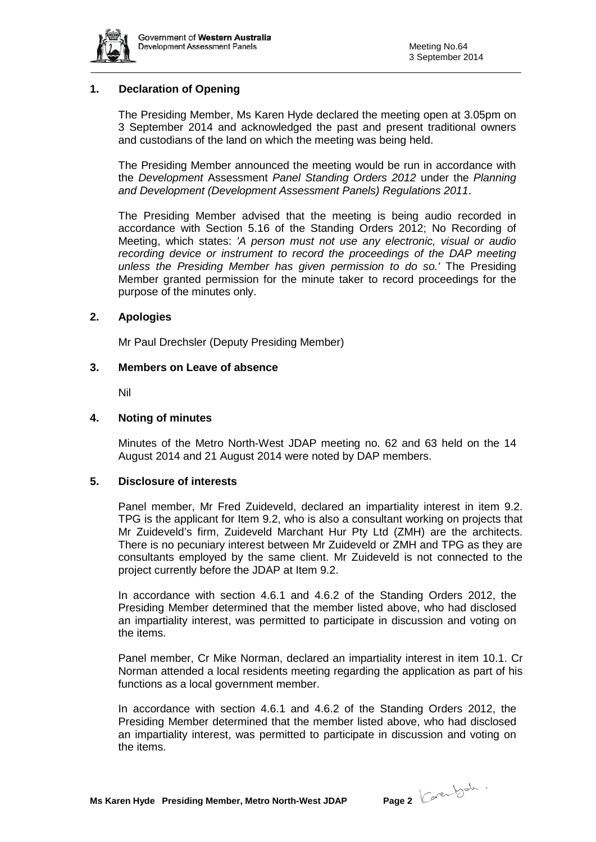

# **1. Declaration of Opening**

The Presiding Member, Ms Karen Hyde declared the meeting open at 3.05pm on 3 September 2014 and acknowledged the past and present traditional owners and custodians of the land on which the meeting was being held.

The Presiding Member announced the meeting would be run in accordance with the *Development* Assessment *Panel Standing Orders 2012* under the *Planning and Development (Development Assessment Panels) Regulations 2011*.

The Presiding Member advised that the meeting is being audio recorded in accordance with Section 5.16 of the Standing Orders 2012; No Recording of Meeting, which states: *'A person must not use any electronic, visual or audio recording device or instrument to record the proceedings of the DAP meeting unless the Presiding Member has given permission to do so.'* The Presiding Member granted permission for the minute taker to record proceedings for the purpose of the minutes only.

#### **2. Apologies**

Mr Paul Drechsler (Deputy Presiding Member)

#### **3. Members on Leave of absence**

Nil

#### **4. Noting of minutes**

Minutes of the Metro North-West JDAP meeting no. 62 and 63 held on the 14 August 2014 and 21 August 2014 were noted by DAP members.

#### **5. Disclosure of interests**

Panel member, Mr Fred Zuideveld, declared an impartiality interest in item 9.2. TPG is the applicant for Item 9.2, who is also a consultant working on projects that Mr Zuideveld's firm, Zuideveld Marchant Hur Pty Ltd (ZMH) are the architects. There is no pecuniary interest between Mr Zuideveld or ZMH and TPG as they are consultants employed by the same client. Mr Zuideveld is not connected to the project currently before the JDAP at Item 9.2.

In accordance with section 4.6.1 and 4.6.2 of the Standing Orders 2012, the Presiding Member determined that the member listed above, who had disclosed an impartiality interest, was permitted to participate in discussion and voting on the items.

Panel member, Cr Mike Norman, declared an impartiality interest in item 10.1. Cr Norman attended a local residents meeting regarding the application as part of his functions as a local government member.

In accordance with section 4.6.1 and 4.6.2 of the Standing Orders 2012, the Presiding Member determined that the member listed above, who had disclosed an impartiality interest, was permitted to participate in discussion and voting on the items.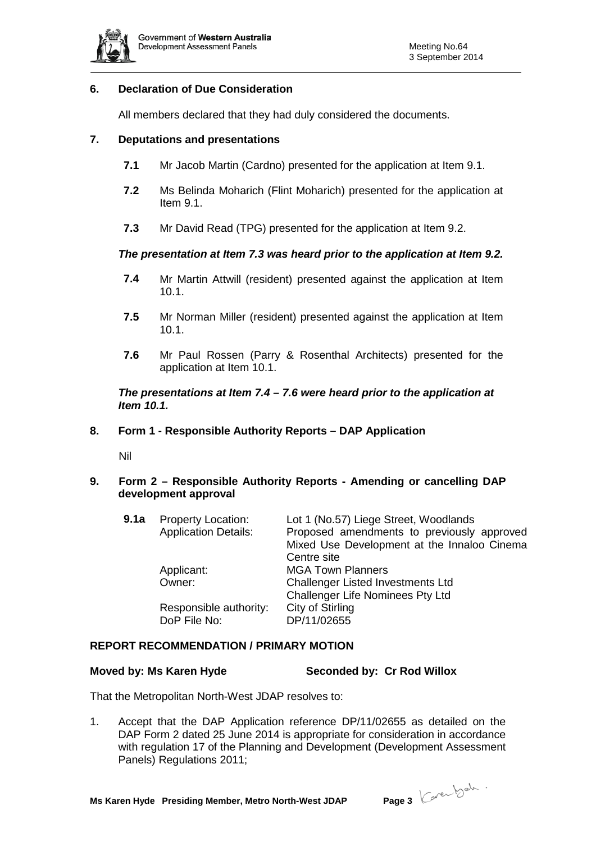

# **6. Declaration of Due Consideration**

All members declared that they had duly considered the documents.

# **7. Deputations and presentations**

- **7.1** Mr Jacob Martin (Cardno) presented for the application at Item 9.1.
- **7.2** Ms Belinda Moharich (Flint Moharich) presented for the application at Item 9.1.
- **7.3** Mr David Read (TPG) presented for the application at Item 9.2.

#### *The presentation at Item 7.3 was heard prior to the application at Item 9.2.*

- **7.4** Mr Martin Attwill (resident) presented against the application at Item 10.1.
- **7.5** Mr Norman Miller (resident) presented against the application at Item 10.1.
- **7.6** Mr Paul Rossen (Parry & Rosenthal Architects) presented for the application at Item 10.1.

# *The presentations at Item 7.4 – 7.6 were heard prior to the application at Item 10.1.*

#### **8. Form 1 - Responsible Authority Reports – DAP Application**

Nil

# **9. Form 2 – Responsible Authority Reports - Amending or cancelling DAP development approval**

| 9.1a | <b>Property Location:</b><br><b>Application Details:</b> | Lot 1 (No.57) Liege Street, Woodlands<br>Proposed amendments to previously approved<br>Mixed Use Development at the Innaloo Cinema<br>Centre site |
|------|----------------------------------------------------------|---------------------------------------------------------------------------------------------------------------------------------------------------|
|      | Applicant:<br>Owner:                                     | <b>MGA Town Planners</b><br>Challenger Listed Investments Ltd                                                                                     |
|      | Responsible authority:<br>DoP File No:                   | <b>Challenger Life Nominees Pty Ltd</b><br>City of Stirling<br>DP/11/02655                                                                        |

# **REPORT RECOMMENDATION / PRIMARY MOTION**

#### **Moved by: Ms Karen Hyde Seconded by: Cr Rod Willox**

That the Metropolitan North-West JDAP resolves to:

1. Accept that the DAP Application reference DP/11/02655 as detailed on the DAP Form 2 dated 25 June 2014 is appropriate for consideration in accordance with regulation 17 of the Planning and Development (Development Assessment Panels) Regulations 2011;

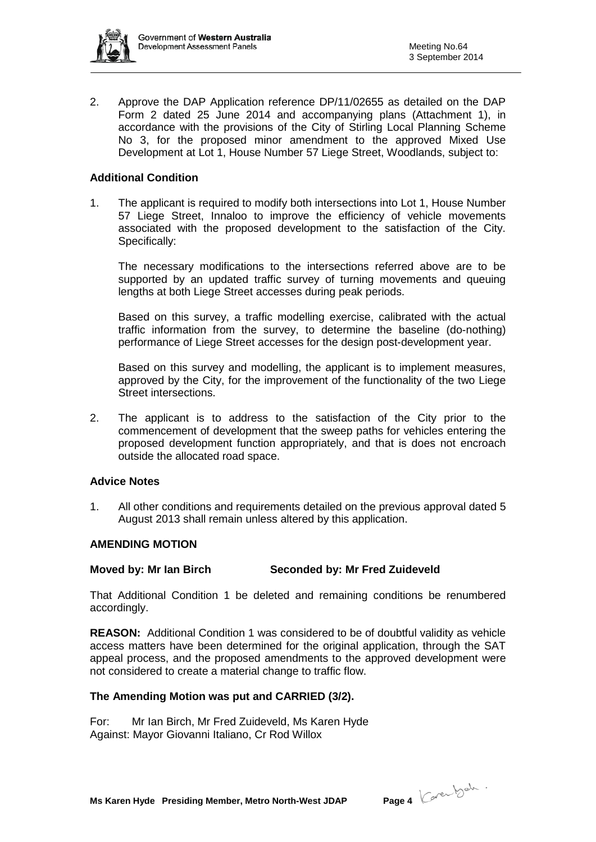

2. Approve the DAP Application reference DP/11/02655 as detailed on the DAP Form 2 dated 25 June 2014 and accompanying plans (Attachment 1), in accordance with the provisions of the City of Stirling Local Planning Scheme No 3, for the proposed minor amendment to the approved Mixed Use Development at Lot 1, House Number 57 Liege Street, Woodlands, subject to:

# **Additional Condition**

1. The applicant is required to modify both intersections into Lot 1, House Number 57 Liege Street, Innaloo to improve the efficiency of vehicle movements associated with the proposed development to the satisfaction of the City. Specifically:

The necessary modifications to the intersections referred above are to be supported by an updated traffic survey of turning movements and queuing lengths at both Liege Street accesses during peak periods.

Based on this survey, a traffic modelling exercise, calibrated with the actual traffic information from the survey, to determine the baseline (do-nothing) performance of Liege Street accesses for the design post-development year.

Based on this survey and modelling, the applicant is to implement measures, approved by the City, for the improvement of the functionality of the two Liege Street intersections.

2. The applicant is to address to the satisfaction of the City prior to the commencement of development that the sweep paths for vehicles entering the proposed development function appropriately, and that is does not encroach outside the allocated road space.

#### **Advice Notes**

1. All other conditions and requirements detailed on the previous approval dated 5 August 2013 shall remain unless altered by this application.

#### **AMENDING MOTION**

# **Moved by: Mr Ian Birch Seconded by: Mr Fred Zuideveld**

That Additional Condition 1 be deleted and remaining conditions be renumbered accordingly.

**REASON:** Additional Condition 1 was considered to be of doubtful validity as vehicle access matters have been determined for the original application, through the SAT appeal process, and the proposed amendments to the approved development were not considered to create a material change to traffic flow.

#### **The Amending Motion was put and CARRIED (3/2).**

For: Mr Ian Birch, Mr Fred Zuideveld, Ms Karen Hyde Against: Mayor Giovanni Italiano, Cr Rod Willox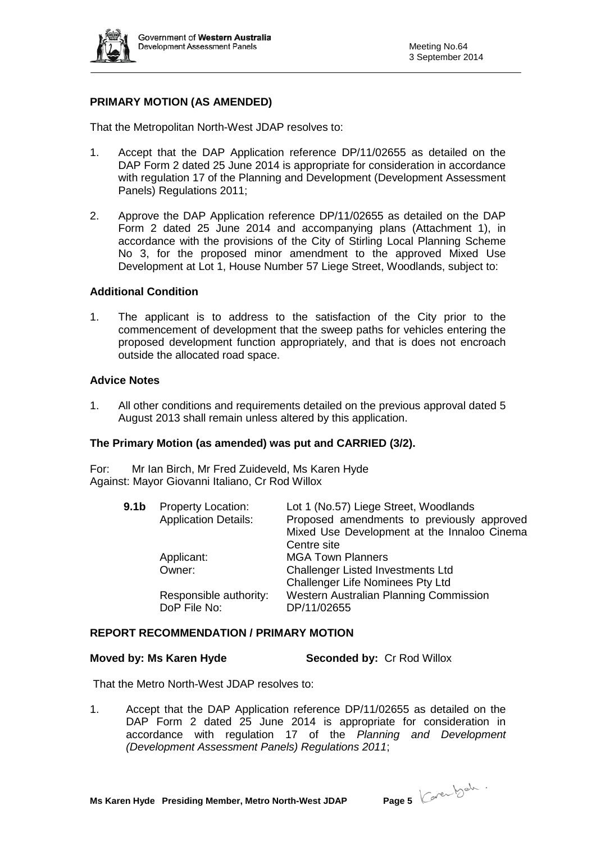

# **PRIMARY MOTION (AS AMENDED)**

That the Metropolitan North-West JDAP resolves to:

- 1. Accept that the DAP Application reference DP/11/02655 as detailed on the DAP Form 2 dated 25 June 2014 is appropriate for consideration in accordance with regulation 17 of the Planning and Development (Development Assessment Panels) Regulations 2011;
- 2. Approve the DAP Application reference DP/11/02655 as detailed on the DAP Form 2 dated 25 June 2014 and accompanying plans (Attachment 1), in accordance with the provisions of the City of Stirling Local Planning Scheme No 3, for the proposed minor amendment to the approved Mixed Use Development at Lot 1, House Number 57 Liege Street, Woodlands, subject to:

# **Additional Condition**

1. The applicant is to address to the satisfaction of the City prior to the commencement of development that the sweep paths for vehicles entering the proposed development function appropriately, and that is does not encroach outside the allocated road space.

# **Advice Notes**

1. All other conditions and requirements detailed on the previous approval dated 5 August 2013 shall remain unless altered by this application.

#### **The Primary Motion (as amended) was put and CARRIED (3/2).**

For: Mr Ian Birch, Mr Fred Zuideveld, Ms Karen Hyde Against: Mayor Giovanni Italiano, Cr Rod Willox

| 9.1b | <b>Property Location:</b><br><b>Application Details:</b> | Lot 1 (No.57) Liege Street, Woodlands<br>Proposed amendments to previously approved<br>Mixed Use Development at the Innaloo Cinema<br>Centre site |
|------|----------------------------------------------------------|---------------------------------------------------------------------------------------------------------------------------------------------------|
|      | Applicant:                                               | <b>MGA Town Planners</b>                                                                                                                          |
|      | Owner:                                                   | <b>Challenger Listed Investments Ltd</b><br><b>Challenger Life Nominees Pty Ltd</b>                                                               |
|      | Responsible authority:<br>DoP File No:                   | <b>Western Australian Planning Commission</b><br>DP/11/02655                                                                                      |

### **REPORT RECOMMENDATION / PRIMARY MOTION**

#### **Moved by: Ms Karen Hyde Seconded by:** Cr Rod Willox

That the Metro North-West JDAP resolves to:

1. Accept that the DAP Application reference DP/11/02655 as detailed on the DAP Form 2 dated 25 June 2014 is appropriate for consideration in accordance with regulation 17 of the *Planning and Development (Development Assessment Panels) Regulations 2011*;

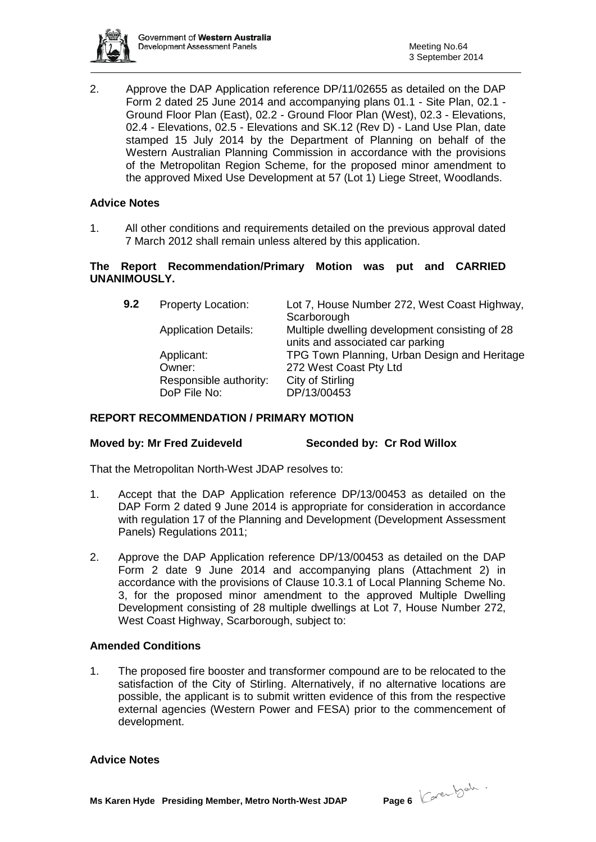

2. Approve the DAP Application reference DP/11/02655 as detailed on the DAP Form 2 dated 25 June 2014 and accompanying plans 01.1 - Site Plan, 02.1 - Ground Floor Plan (East), 02.2 - Ground Floor Plan (West), 02.3 - Elevations, 02.4 - Elevations, 02.5 - Elevations and SK.12 (Rev D) - Land Use Plan, date stamped 15 July 2014 by the Department of Planning on behalf of the Western Australian Planning Commission in accordance with the provisions of the Metropolitan Region Scheme, for the proposed minor amendment to the approved Mixed Use Development at 57 (Lot 1) Liege Street, Woodlands.

# **Advice Notes**

1. All other conditions and requirements detailed on the previous approval dated 7 March 2012 shall remain unless altered by this application.

# **The Report Recommendation/Primary Motion was put and CARRIED UNANIMOUSLY.**

**9.2** Property Location: Lot 7, House Number 272, West Coast Highway, **Scarborough** Application Details: Multiple dwelling development consisting of 28 units and associated car parking Applicant: TPG Town Planning, Urban Design and Heritage Owner: 272 West Coast Pty Ltd<br>Responsible authority: City of Stirling Responsible authority: DoP File No: DP/13/00453

# **REPORT RECOMMENDATION / PRIMARY MOTION**

#### **Moved by: Mr Fred Zuideveld Seconded by: Cr Rod Willox**

That the Metropolitan North-West JDAP resolves to:

- 1. Accept that the DAP Application reference DP/13/00453 as detailed on the DAP Form 2 dated 9 June 2014 is appropriate for consideration in accordance with regulation 17 of the Planning and Development (Development Assessment Panels) Regulations 2011;
- 2. Approve the DAP Application reference DP/13/00453 as detailed on the DAP Form 2 date 9 June 2014 and accompanying plans (Attachment 2) in accordance with the provisions of Clause 10.3.1 of Local Planning Scheme No. 3, for the proposed minor amendment to the approved Multiple Dwelling Development consisting of 28 multiple dwellings at Lot 7, House Number 272, West Coast Highway, Scarborough, subject to:

#### **Amended Conditions**

1. The proposed fire booster and transformer compound are to be relocated to the satisfaction of the City of Stirling. Alternatively, if no alternative locations are possible, the applicant is to submit written evidence of this from the respective external agencies (Western Power and FESA) prior to the commencement of development.

#### **Advice Notes**

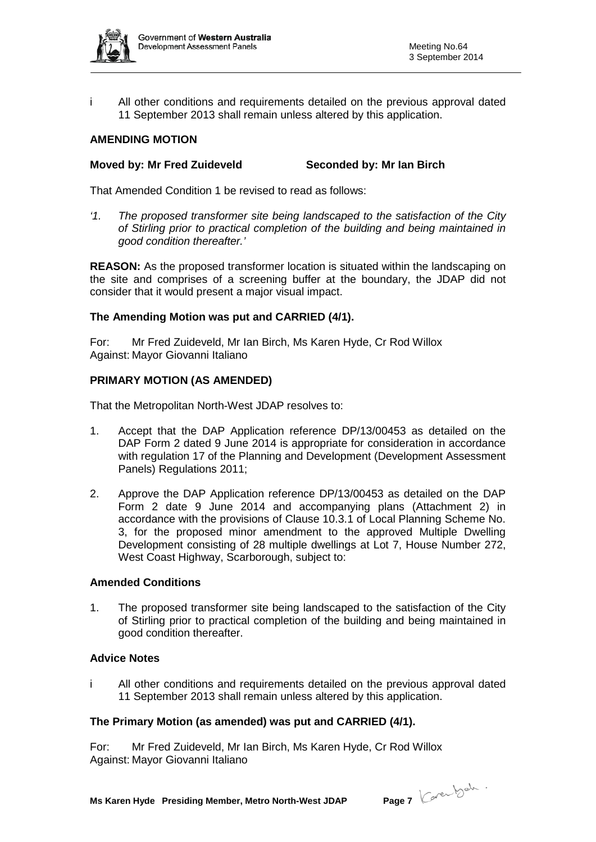

i All other conditions and requirements detailed on the previous approval dated 11 September 2013 shall remain unless altered by this application.

# **AMENDING MOTION**

# **Moved by: Mr Fred Zuideveld Seconded by: Mr Ian Birch**

That Amended Condition 1 be revised to read as follows:

*'1. The proposed transformer site being landscaped to the satisfaction of the City of Stirling prior to practical completion of the building and being maintained in good condition thereafter.'*

**REASON:** As the proposed transformer location is situated within the landscaping on the site and comprises of a screening buffer at the boundary, the JDAP did not consider that it would present a major visual impact.

# **The Amending Motion was put and CARRIED (4/1).**

For: Mr Fred Zuideveld, Mr Ian Birch, Ms Karen Hyde, Cr Rod Willox Against: Mayor Giovanni Italiano

# **PRIMARY MOTION (AS AMENDED)**

That the Metropolitan North-West JDAP resolves to:

- 1. Accept that the DAP Application reference DP/13/00453 as detailed on the DAP Form 2 dated 9 June 2014 is appropriate for consideration in accordance with regulation 17 of the Planning and Development (Development Assessment Panels) Regulations 2011;
- 2. Approve the DAP Application reference DP/13/00453 as detailed on the DAP Form 2 date 9 June 2014 and accompanying plans (Attachment 2) in accordance with the provisions of Clause 10.3.1 of Local Planning Scheme No. 3, for the proposed minor amendment to the approved Multiple Dwelling Development consisting of 28 multiple dwellings at Lot 7, House Number 272, West Coast Highway, Scarborough, subject to:

#### **Amended Conditions**

1. The proposed transformer site being landscaped to the satisfaction of the City of Stirling prior to practical completion of the building and being maintained in good condition thereafter.

### **Advice Notes**

i All other conditions and requirements detailed on the previous approval dated 11 September 2013 shall remain unless altered by this application.

#### **The Primary Motion (as amended) was put and CARRIED (4/1).**

For: Mr Fred Zuideveld, Mr Ian Birch, Ms Karen Hyde, Cr Rod Willox Against: Mayor Giovanni Italiano

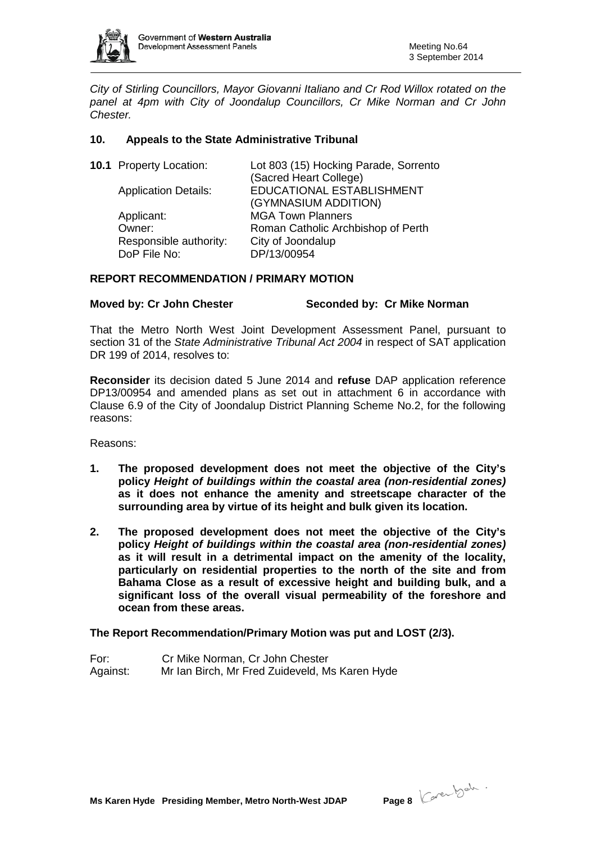

*City of Stirling Councillors, Mayor Giovanni Italiano and Cr Rod Willox rotated on the panel at 4pm with City of Joondalup Councillors, Cr Mike Norman and Cr John Chester.*

# **10. Appeals to the State Administrative Tribunal**

| <b>10.1</b> Property Location: | Lot 803 (15) Hocking Parade, Sorrento |
|--------------------------------|---------------------------------------|
|                                | (Sacred Heart College)                |
| <b>Application Details:</b>    | EDUCATIONAL ESTABLISHMENT             |
|                                | (GYMNASIUM ADDITION)                  |
| Applicant:                     | <b>MGA Town Planners</b>              |
| Owner:                         | Roman Catholic Archbishop of Perth    |
| Responsible authority:         | City of Joondalup                     |
| DoP File No:                   | DP/13/00954                           |
|                                |                                       |

# **REPORT RECOMMENDATION / PRIMARY MOTION**

# **Moved by: Cr John Chester Seconded by: Cr Mike Norman**

That the Metro North West Joint Development Assessment Panel, pursuant to section 31 of the *State Administrative Tribunal Act 2004* in respect of SAT application DR 199 of 2014, resolves to:

**Reconsider** its decision dated 5 June 2014 and **refuse** DAP application reference DP13/00954 and amended plans as set out in attachment 6 in accordance with Clause 6.9 of the City of Joondalup District Planning Scheme No.2, for the following reasons:

Reasons:

- **1. The proposed development does not meet the objective of the City's policy** *Height of buildings within the coastal area (non-residential zones)*  **as it does not enhance the amenity and streetscape character of the surrounding area by virtue of its height and bulk given its location.**
- **2. The proposed development does not meet the objective of the City's policy** *Height of buildings within the coastal area (non-residential zones)*  **as it will result in a detrimental impact on the amenity of the locality, particularly on residential properties to the north of the site and from Bahama Close as a result of excessive height and building bulk, and a significant loss of the overall visual permeability of the foreshore and ocean from these areas.**

#### **The Report Recommendation/Primary Motion was put and LOST (2/3).**

For: Cr Mike Norman, Cr John Chester Against: Mr Ian Birch, Mr Fred Zuideveld, Ms Karen Hyde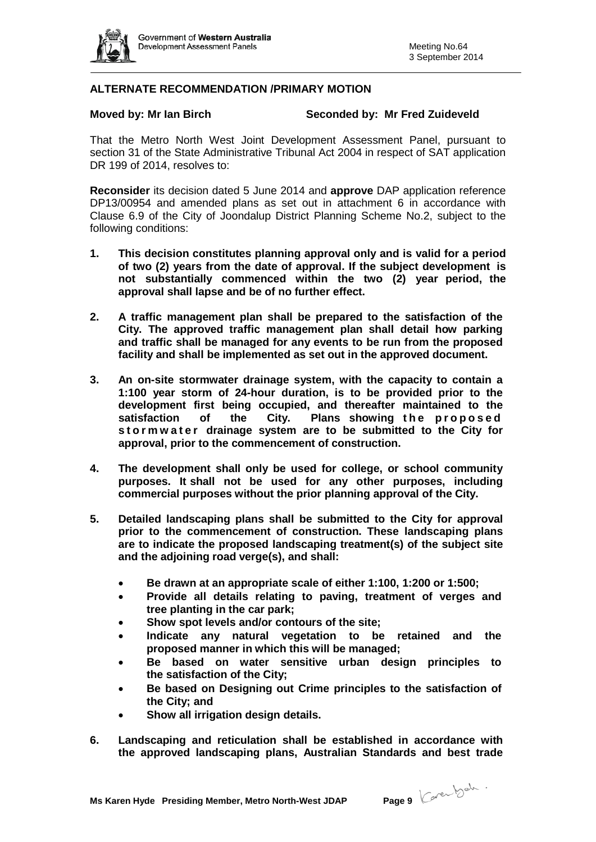

# **ALTERNATE RECOMMENDATION /PRIMARY MOTION**

#### **Moved by: Mr Ian Birch Seconded by: Mr Fred Zuideveld**

That the Metro North West Joint Development Assessment Panel, pursuant to section 31 of the State Administrative Tribunal Act 2004 in respect of SAT application DR 199 of 2014, resolves to:

**Reconsider** its decision dated 5 June 2014 and **approve** DAP application reference DP13/00954 and amended plans as set out in attachment 6 in accordance with Clause 6.9 of the City of Joondalup District Planning Scheme No.2, subject to the following conditions:

- **1. This decision constitutes planning approval only and is valid for a period of two (2) years from the date of approval. If the subject development is not substantially commenced within the two (2) year period, the approval shall lapse and be of no further effect.**
- **2. A traffic management plan shall be prepared to the satisfaction of the City. The approved traffic management plan shall detail how parking and traffic shall be managed for any events to be run from the proposed facility and shall be implemented as set out in the approved document.**
- **3. An on-site stormwater drainage system, with the capacity to contain a 1:100 year storm of 24-hour duration, is to be provided prior to the development first being occupied, and thereafter maintained to the satisfaction of the City. Plans showing the proposed stormwater drainage system are to be submitted to the City for approval, prior to the commencement of construction.**
- **4. The development shall only be used for college, or school community purposes. It shall not be used for any other purposes, including commercial purposes without the prior planning approval of the City.**
- **5. Detailed landscaping plans shall be submitted to the City for approval prior to the commencement of construction. These landscaping plans are to indicate the proposed landscaping treatment(s) of the subject site and the adjoining road verge(s), and shall:**
	- **Be drawn at an appropriate scale of either 1:100, 1:200 or 1:500;**
	- **Provide all details relating to paving, treatment of verges and tree planting in the car park;**
	- **Show spot levels and/or contours of the site;**
	- **Indicate any natural vegetation to be retained and the proposed manner in which this will be managed;**
	- **Be based on water sensitive urban design principles to the satisfaction of the City;**
	- **Be based on Designing out Crime principles to the satisfaction of the City; and**
	- **Show all irrigation design details.**
- **6. Landscaping and reticulation shall be established in accordance with the approved landscaping plans, Australian Standards and best trade**

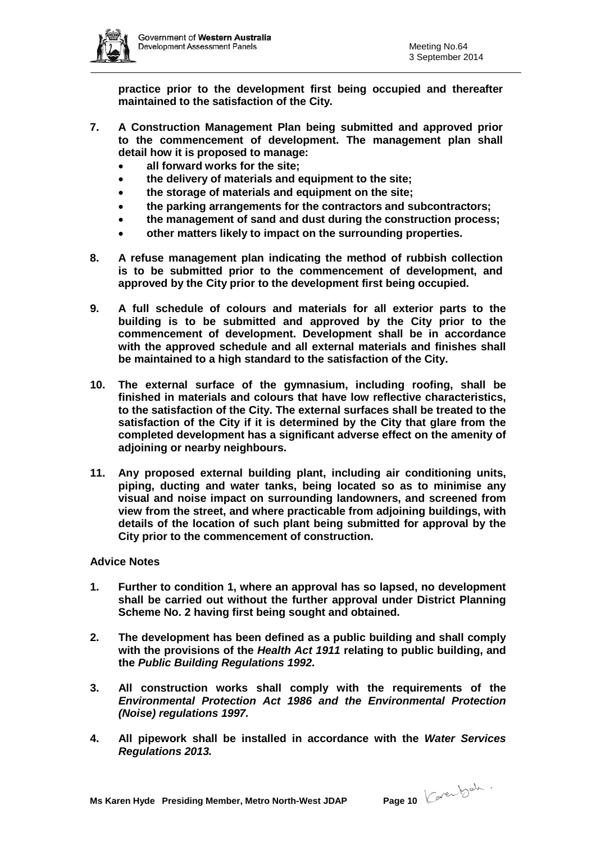

**practice prior to the development first being occupied and thereafter maintained to the satisfaction of the City.**

- **7. A Construction Management Plan being submitted and approved prior to the commencement of development. The management plan shall detail how it is proposed to manage:**
	- **all forward works for the site;**
	- **the delivery of materials and equipment to the site;**
	- **the storage of materials and equipment on the site;**
	- **the parking arrangements for the contractors and subcontractors;**
	- **the management of sand and dust during the construction process;**
	- **other matters likely to impact on the surrounding properties.**
- **8. A refuse management plan indicating the method of rubbish collection is to be submitted prior to the commencement of development, and approved by the City prior to the development first being occupied.**
- **9. A full schedule of colours and materials for all exterior parts to the building is to be submitted and approved by the City prior to the commencement of development. Development shall be in accordance with the approved schedule and all external materials and finishes shall be maintained to a high standard to the satisfaction of the City.**
- **10. The external surface of the gymnasium, including roofing, shall be finished in materials and colours that have low reflective characteristics, to the satisfaction of the City. The external surfaces shall be treated to the satisfaction of the City if it is determined by the City that glare from the completed development has a significant adverse effect on the amenity of adjoining or nearby neighbours.**
- **11. Any proposed external building plant, including air conditioning units, piping, ducting and water tanks, being located so as to minimise any visual and noise impact on surrounding landowners, and screened from view from the street, and where practicable from adjoining buildings, with details of the location of such plant being submitted for approval by the City prior to the commencement of construction.**

#### **Advice Notes**

- **1. Further to condition 1, where an approval has so lapsed, no development shall be carried out without the further approval under District Planning Scheme No. 2 having first being sought and obtained.**
- **2. The development has been defined as a public building and shall comply with the provisions of the** *Health Act 1911* **relating to public building, and the** *Public Building Regulations 1992***.**
- **3. All construction works shall comply with the requirements of the**  *Environmental Protection Act 1986 and the Environmental Protection (Noise) regulations 1997.*
- **4. All pipework shall be installed in accordance with the** *Water Services Regulations 2013.*